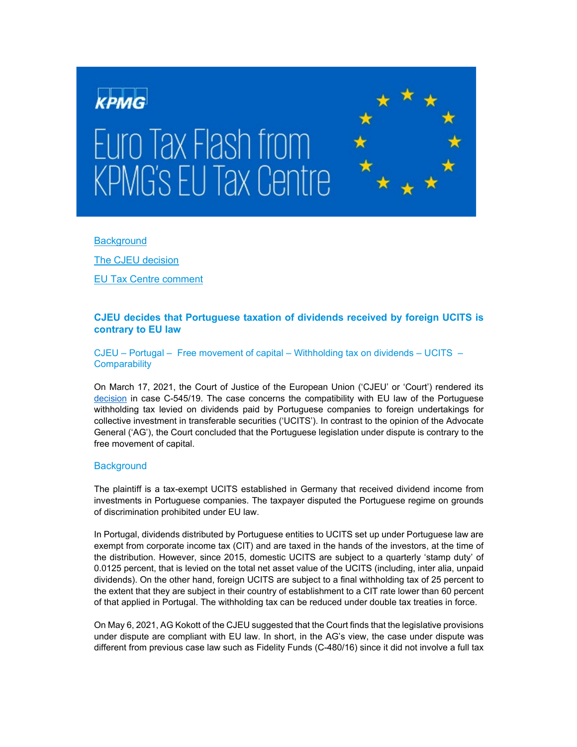

### **[Background](#page-0-0)**

[The CJEU decision](#page-1-0) [EU Tax Centre comment](#page-2-0)

# **CJEU decides that Portuguese taxation of dividends received by foreign UCITS is contrary to EU law**

CJEU – Portugal – Free movement of capital – Withholding tax on dividends – UCITS – **Comparability** 

On March 17, 2021, the Court of Justice of the European Union ('CJEU' or 'Court') rendered its [decision](https://curia.europa.eu/juris/fiche.jsf?id=C%3B545%3B19%3BRP%3B1%3BP%3B1%3BC2019%2F0545%2FP&oqp=&for=&mat=LCM%252CLCC%252CETAB%252CSERV%252CDFON%252CMARI%252CDISC%252CFISC%252Cor&lgrec=en&jge=&td=%3BALL&jur=C%2CT%2CF&dates=%2524type%253Dpro%2524mode%253DfromTo%2524from%253D2022.03.01%2524to%253D2022.04.01&pcs=Oor&lg=&pro=&nat=or&cit=none%252CC%252CCJ%252CR%252C2008E%252C%252C%252C%252C%252C%252C%252C%252C%252C%252Ctrue%252Cfalse%252Cfalse&language=en&avg=&cid=318008) in case C-545/19. The case concerns the compatibility with EU law of the Portuguese withholding tax levied on dividends paid by Portuguese companies to foreign undertakings for collective investment in transferable securities ('UCITS'). In contrast to the opinion of the Advocate General ('AG'), the Court concluded that the Portuguese legislation under dispute is contrary to the free movement of capital.

## <span id="page-0-0"></span>**Background**

The plaintiff is a tax-exempt UCITS established in Germany that received dividend income from investments in Portuguese companies. The taxpayer disputed the Portuguese regime on grounds of discrimination prohibited under EU law.

In Portugal, dividends distributed by Portuguese entities to UCITS set up under Portuguese law are exempt from corporate income tax (CIT) and are taxed in the hands of the investors, at the time of the distribution. However, since 2015, domestic UCITS are subject to a quarterly 'stamp duty' of 0.0125 percent, that is levied on the total net asset value of the UCITS (including, inter alia, unpaid dividends). On the other hand, foreign UCITS are subject to a final withholding tax of 25 percent to the extent that they are subject in their country of establishment to a CIT rate lower than 60 percent of that applied in Portugal. The withholding tax can be reduced under double tax treaties in force.

On May 6, 2021, AG Kokott of the CJEU suggested that the Court finds that the legislative provisions under dispute are compliant with EU law. In short, in the AG's view, the case under dispute was different from previous case law such as Fidelity Funds (C-480/16) since it did not involve a full tax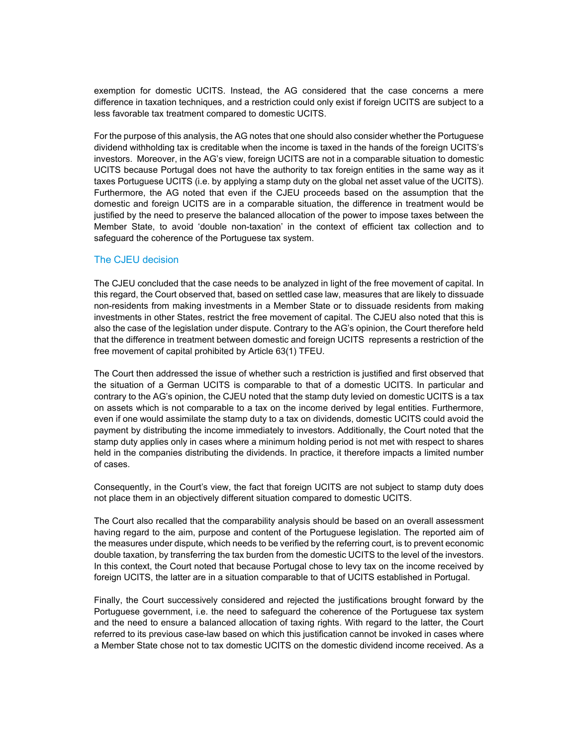exemption for domestic UCITS. Instead, the AG considered that the case concerns a mere difference in taxation techniques, and a restriction could only exist if foreign UCITS are subject to a less favorable tax treatment compared to domestic UCITS.

For the purpose of this analysis, the AG notes that one should also consider whether the Portuguese dividend withholding tax is creditable when the income is taxed in the hands of the foreign UCITS's investors. Moreover, in the AG's view, foreign UCITS are not in a comparable situation to domestic UCITS because Portugal does not have the authority to tax foreign entities in the same way as it taxes Portuguese UCITS (i.e. by applying a stamp duty on the global net asset value of the UCITS). Furthermore, the AG noted that even if the CJEU proceeds based on the assumption that the domestic and foreign UCITS are in a comparable situation, the difference in treatment would be justified by the need to preserve the balanced allocation of the power to impose taxes between the Member State, to avoid 'double non-taxation' in the context of efficient tax collection and to safeguard the coherence of the Portuguese tax system.

## <span id="page-1-0"></span>The CJEU decision

The CJEU concluded that the case needs to be analyzed in light of the free movement of capital. In this regard, the Court observed that, based on settled case law, measures that are likely to dissuade non-residents from making investments in a Member State or to dissuade residents from making investments in other States, restrict the free movement of capital. The CJEU also noted that this is also the case of the legislation under dispute. Contrary to the AG's opinion, the Court therefore held that the difference in treatment between domestic and foreign UCITS represents a restriction of the free movement of capital prohibited by Article 63(1) TFEU.

The Court then addressed the issue of whether such a restriction is justified and first observed that the situation of a German UCITS is comparable to that of a domestic UCITS. In particular and contrary to the AG's opinion, the CJEU noted that the stamp duty levied on domestic UCITS is a tax on assets which is not comparable to a tax on the income derived by legal entities. Furthermore, even if one would assimilate the stamp duty to a tax on dividends, domestic UCITS could avoid the payment by distributing the income immediately to investors. Additionally, the Court noted that the stamp duty applies only in cases where a minimum holding period is not met with respect to shares held in the companies distributing the dividends. In practice, it therefore impacts a limited number of cases.

Consequently, in the Court's view, the fact that foreign UCITS are not subject to stamp duty does not place them in an objectively different situation compared to domestic UCITS.

The Court also recalled that the comparability analysis should be based on an overall assessment having regard to the aim, purpose and content of the Portuguese legislation. The reported aim of the measures under dispute, which needs to be verified by the referring court, is to prevent economic double taxation, by transferring the tax burden from the domestic UCITS to the level of the investors. In this context, the Court noted that because Portugal chose to levy tax on the income received by foreign UCITS, the latter are in a situation comparable to that of UCITS established in Portugal.

Finally, the Court successively considered and rejected the justifications brought forward by the Portuguese government, i.e. the need to safeguard the coherence of the Portuguese tax system and the need to ensure a balanced allocation of taxing rights. With regard to the latter, the Court referred to its previous case-law based on which this justification cannot be invoked in cases where a Member State chose not to tax domestic UCITS on the domestic dividend income received. As a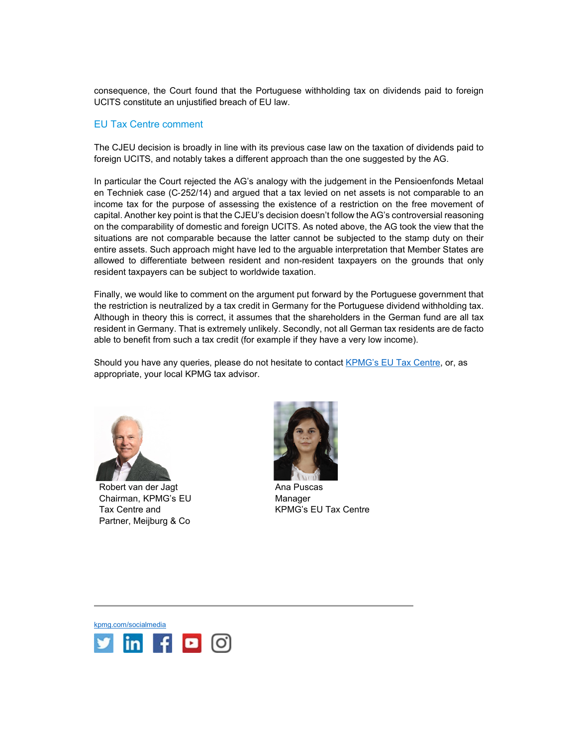consequence, the Court found that the Portuguese withholding tax on dividends paid to foreign UCITS constitute an unjustified breach of EU law.

### <span id="page-2-0"></span>EU Tax Centre comment

The CJEU decision is broadly in line with its previous case law on the taxation of dividends paid to foreign UCITS, and notably takes a different approach than the one suggested by the AG.

In particular the Court rejected the AG's analogy with the judgement in the Pensioenfonds Metaal en Techniek case (C‑252/14) and argued that a tax levied on net assets is not comparable to an income tax for the purpose of assessing the existence of a restriction on the free movement of capital. Another key point is that the CJEU's decision doesn't follow the AG's controversial reasoning on the comparability of domestic and foreign UCITS. As noted above, the AG took the view that the situations are not comparable because the latter cannot be subjected to the stamp duty on their entire assets. Such approach might have led to the arguable interpretation that Member States are allowed to differentiate between resident and non-resident taxpayers on the grounds that only resident taxpayers can be subject to worldwide taxation.

Finally, we would like to comment on the argument put forward by the Portuguese government that the restriction is neutralized by a tax credit in Germany for the Portuguese dividend withholding tax. Although in theory this is correct, it assumes that the shareholders in the German fund are all tax resident in Germany. That is extremely unlikely. Secondly, not all German tax residents are de facto able to benefit from such a tax credit (for example if they have a very low income).

Should you have any queries, please do not hesitate to contact [KPMG's EU Tax Centre,](mailto:kpmgeutaxcentre@kpmg.com) or, as appropriate, your local KPMG tax advisor.



Robert van der Jagt Chairman, KPMG's EU Tax Centre and Partner, Meijburg & Co



Ana Puscas Manager KPMG's EU Tax Centre